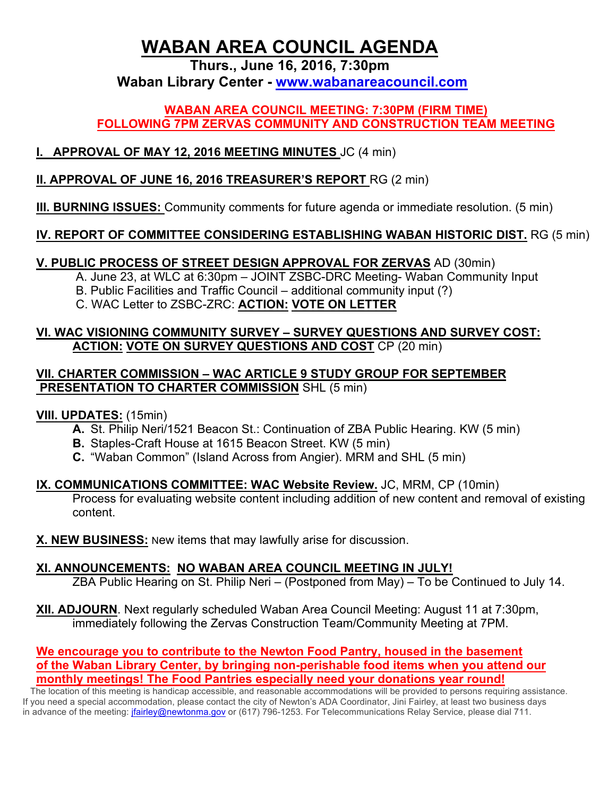# **WABAN AREA COUNCIL AGENDA**

**Thurs., June 16, 2016, 7:30pm**

**Waban Library Center - www.wabanareacouncil.com**

#### **WABAN AREA COUNCIL MEETING: 7:30PM (FIRM TIME) FOLLOWING 7PM ZERVAS COMMUNITY AND CONSTRUCTION TEAM MEETING**

## **I. APPROVAL OF MAY 12, 2016 MEETING MINUTES** JC (4 min)

#### **II. APPROVAL OF JUNE 16, 2016 TREASURER'S REPORT** RG (2 min)

## **III. BURNING ISSUES:** Community comments for future agenda or immediate resolution. (5 min)

## **IV. REPORT OF COMMITTEE CONSIDERING ESTABLISHING WABAN HISTORIC DIST.** RG (5 min)

## **V. PUBLIC PROCESS OF STREET DESIGN APPROVAL FOR ZERVAS** AD (30min)

A. June 23, at WLC at 6:30pm – JOINT ZSBC-DRC Meeting- Waban Community Input

B. Public Facilities and Traffic Council – additional community input (?)

C. WAC Letter to ZSBC-ZRC: **ACTION: VOTE ON LETTER**

#### **VI. WAC VISIONING COMMUNITY SURVEY – SURVEY QUESTIONS AND SURVEY COST: ACTION: VOTE ON SURVEY QUESTIONS AND COST** CP (20 min)

#### **VII. CHARTER COMMISSION – WAC ARTICLE 9 STUDY GROUP FOR SEPTEMBER PRESENTATION TO CHARTER COMMISSION** SHL (5 min)

#### **VIII. UPDATES:** (15min)

- **A.** St. Philip Neri/1521 Beacon St.: Continuation of ZBA Public Hearing. KW (5 min)
- **B.** Staples-Craft House at 1615 Beacon Street. KW (5 min)
- **C.** "Waban Common" (Island Across from Angier). MRM and SHL (5 min)

#### **IX. COMMUNICATIONS COMMITTEE: WAC Website Review.** JC, MRM, CP (10min) Process for evaluating website content including addition of new content and removal of existing content.

**X. NEW BUSINESS:** New items that may lawfully arise for discussion.

## **XI. ANNOUNCEMENTS: NO WABAN AREA COUNCIL MEETING IN JULY!**

ZBA Public Hearing on St. Philip Neri – (Postponed from May) – To be Continued to July 14.

**XII. ADJOURN**. Next regularly scheduled Waban Area Council Meeting: August 11 at 7:30pm, immediately following the Zervas Construction Team/Community Meeting at 7PM.

#### **We encourage you to contribute to the Newton Food Pantry, housed in the basement of the Waban Library Center, by bringing non-perishable food items when you attend our monthly meetings! The Food Pantries especially need your donations year round!**

 The location of this meeting is handicap accessible, and reasonable accommodations will be provided to persons requiring assistance. If you need a special accommodation, please contact the city of Newton's ADA Coordinator, Jini Fairley, at least two business days in advance of the meeting: *jfairley@newtonma.gov* or (617) 796-1253. For Telecommunications Relay Service, please dial 711.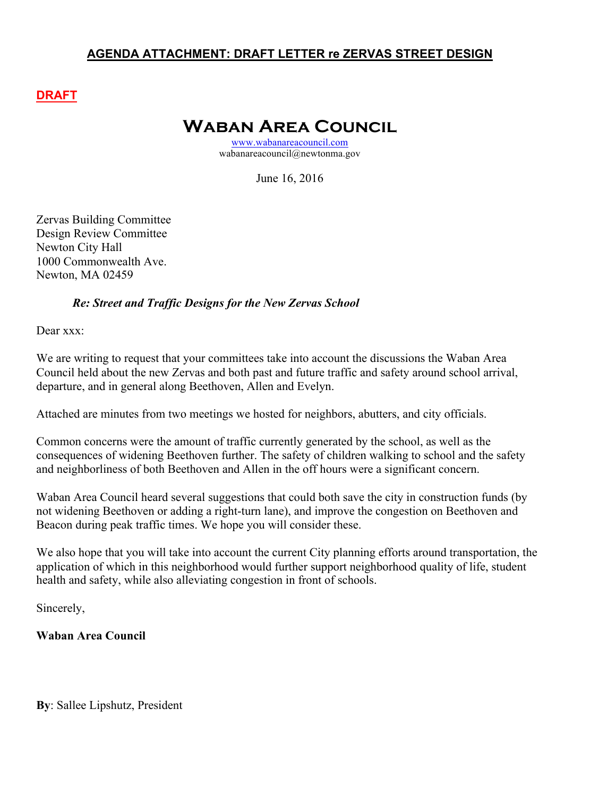#### **AGENDA ATTACHMENT: DRAFT LETTER re ZERVAS STREET DESIGN**

#### **DRAFT**

# **Waban Area Council**

www.wabanareacouncil.com wabanareacouncil@newtonma.gov

June 16, 2016

Zervas Building Committee Design Review Committee Newton City Hall 1000 Commonwealth Ave. Newton, MA 02459

#### *Re: Street and Traffic Designs for the New Zervas School*

Dear xxx<sup>-</sup>

We are writing to request that your committees take into account the discussions the Waban Area Council held about the new Zervas and both past and future traffic and safety around school arrival, departure, and in general along Beethoven, Allen and Evelyn.

Attached are minutes from two meetings we hosted for neighbors, abutters, and city officials.

Common concerns were the amount of traffic currently generated by the school, as well as the consequences of widening Beethoven further. The safety of children walking to school and the safety and neighborliness of both Beethoven and Allen in the off hours were a significant concern.

Waban Area Council heard several suggestions that could both save the city in construction funds (by not widening Beethoven or adding a right-turn lane), and improve the congestion on Beethoven and Beacon during peak traffic times. We hope you will consider these.

We also hope that you will take into account the current City planning efforts around transportation, the application of which in this neighborhood would further support neighborhood quality of life, student health and safety, while also alleviating congestion in front of schools.

Sincerely,

**Waban Area Council**

**By**: Sallee Lipshutz, President